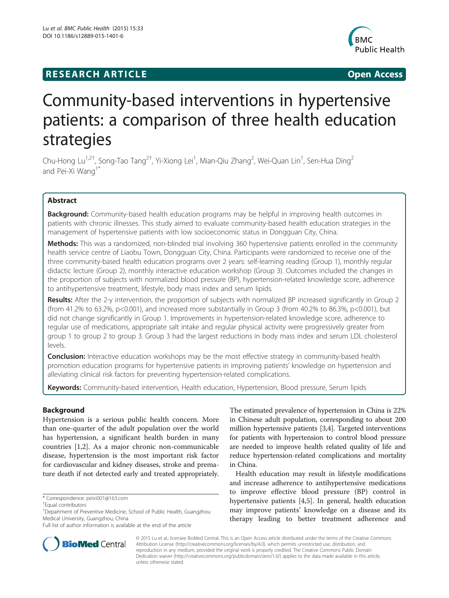## **RESEARCH ARTICLE Example 2014 12:30 The SEAR CHIPS 2014 12:30 The Open Access**



# Community-based interventions in hypertensive patients: a comparison of three health education strategies

Chu-Hong Lu<sup>1,2†</sup>, Song-Tao Tang<sup>2†</sup>, Yi-Xiong Lei<sup>1</sup>, Mian-Qiu Zhang<sup>2</sup>, Wei-Quan Lin<sup>1</sup>, Sen-Hua Ding<sup>2</sup> and Pei-Xi Wang<sup>1\*</sup>

## Abstract

Background: Community-based health education programs may be helpful in improving health outcomes in patients with chronic illnesses. This study aimed to evaluate community-based health education strategies in the management of hypertensive patients with low socioeconomic status in Dongguan City, China.

Methods: This was a randomized, non-blinded trial involving 360 hypertensive patients enrolled in the community health service centre of Liaobu Town, Dongguan City, China. Participants were randomized to receive one of the three community-based health education programs over 2 years: self-learning reading (Group 1), monthly regular didactic lecture (Group 2), monthly interactive education workshop (Group 3). Outcomes included the changes in the proportion of subjects with normalized blood pressure (BP), hypertension-related knowledge score, adherence to antihypertensive treatment, lifestyle, body mass index and serum lipids.

Results: After the 2-y intervention, the proportion of subjects with normalized BP increased significantly in Group 2 (from 41.2% to 63.2%, p<0.001), and increased more substantially in Group 3 (from 40.2% to 86.3%, p<0.001), but did not change significantly in Group 1. Improvements in hypertension-related knowledge score, adherence to regular use of medications, appropriate salt intake and regular physical activity were progressively greater from group 1 to group 2 to group 3. Group 3 had the largest reductions in body mass index and serum LDL cholesterol levels.

**Conclusion:** Interactive education workshops may be the most effective strategy in community-based health promotion education programs for hypertensive patients in improving patients' knowledge on hypertension and alleviating clinical risk factors for preventing hypertension-related complications.

Keywords: Community-based intervention, Health education, Hypertension, Blood pressure, Serum lipids

## Background

Hypertension is a serious public health concern. More than one-quarter of the adult population over the world has hypertension, a significant health burden in many countries [\[1,2\]](#page-8-0). As a major chronic non-communicable disease, hypertension is the most important risk factor for cardiovascular and kidney diseases, stroke and premature death if not detected early and treated appropriately.

\* Correspondence: [peixi001@163.com](mailto:peixi001@163.com) †

The estimated prevalence of hypertension in China is 22% in Chinese adult population, corresponding to about 200 million hypertensive patients [[3,4](#page-8-0)]. Targeted interventions for patients with hypertension to control blood pressure are needed to improve health related quality of life and reduce hypertension-related complications and mortality in China.

Health education may result in lifestyle modifications and increase adherence to antihypertensive medications to improve effective blood pressure (BP) control in hypertensive patients [\[4](#page-8-0),[5](#page-8-0)]. In general, health education may improve patients' knowledge on a disease and its therapy leading to better treatment adherence and



© 2015 Lu et al.; licensee BioMed Central. This is an Open Access article distributed under the terms of the Creative Commons Attribution License (<http://creativecommons.org/licenses/by/4.0>), which permits unrestricted use, distribution, and reproduction in any medium, provided the original work is properly credited. The Creative Commons Public Domain Dedication waiver [\(http://creativecommons.org/publicdomain/zero/1.0/](http://creativecommons.org/publicdomain/zero/1.0/)) applies to the data made available in this article, unless otherwise stated.

Equal contributors

<sup>&</sup>lt;sup>1</sup>Department of Preventive Medicine, School of Public Health, Guangzhou Medical University, Guangzhou, China

Full list of author information is available at the end of the article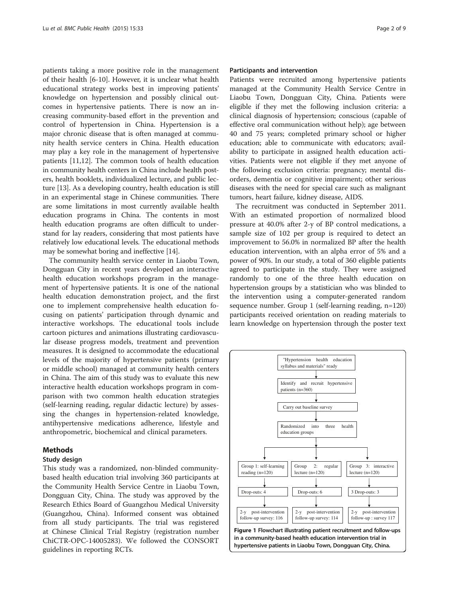<span id="page-1-0"></span>patients taking a more positive role in the management of their health [[6-10](#page-8-0)]. However, it is unclear what health educational strategy works best in improving patients' knowledge on hypertension and possibly clinical outcomes in hypertensive patients. There is now an increasing community-based effort in the prevention and control of hypertension in China. Hypertension is a major chronic disease that is often managed at community health service centers in China. Health education may play a key role in the management of hypertensive patients [[11,12\]](#page-8-0). The common tools of health education in community health centers in China include health posters, health booklets, individualized lecture, and public lecture [[13](#page-8-0)]. As a developing country, health education is still in an experimental stage in Chinese communities. There are some limitations in most currently available health education programs in China. The contents in most health education programs are often difficult to understand for lay readers, considering that most patients have relatively low educational levels. The educational methods may be somewhat boring and ineffective [\[14](#page-8-0)].

The community health service center in Liaobu Town, Dongguan City in recent years developed an interactive health education workshops program in the management of hypertensive patients. It is one of the national health education demonstration project, and the first one to implement comprehensive health education focusing on patients' participation through dynamic and interactive workshops. The educational tools include cartoon pictures and animations illustrating cardiovascular disease progress models, treatment and prevention measures. It is designed to accommodate the educational levels of the majority of hypertensive patients (primary or middle school) managed at community health centers in China. The aim of this study was to evaluate this new interactive health education workshops program in comparison with two common health education strategies (self-learning reading, regular didactic lecture) by assessing the changes in hypertension-related knowledge, antihypertensive medications adherence, lifestyle and anthropometric, biochemical and clinical parameters.

## Methods

## Study design

This study was a randomized, non-blinded communitybased health education trial involving 360 participants at the Community Health Service Centre in Liaobu Town, Dongguan City, China. The study was approved by the Research Ethics Board of Guangzhou Medical University (Guangzhou, China). Informed consent was obtained from all study participants. The trial was registered at Chinese Clinical Trial Registry (registration number ChiCTR-OPC-14005283). We followed the CONSORT guidelines in reporting RCTs.

### Participants and intervention

Patients were recruited among hypertensive patients managed at the Community Health Service Centre in Liaobu Town, Dongguan City, China. Patients were eligible if they met the following inclusion criteria: a clinical diagnosis of hypertension; conscious (capable of effective oral communication without help); age between 40 and 75 years; completed primary school or higher education; able to communicate with educators; availability to participate in assigned health education activities. Patients were not eligible if they met anyone of the following exclusion criteria: pregnancy; mental disorders, dementia or cognitive impairment; other serious diseases with the need for special care such as malignant tumors, heart failure, kidney disease, AIDS.

The recruitment was conducted in September 2011. With an estimated proportion of normalized blood pressure at 40.0% after 2-y of BP control medications, a sample size of 102 per group is required to detect an improvement to 56.0% in normalized BP after the health education intervention, with an alpha error of 5% and a power of 90%. In our study, a total of 360 eligible patients agreed to participate in the study. They were assigned randomly to one of the three health education on hypertension groups by a statistician who was blinded to the intervention using a computer-generated random sequence number. Group 1 (self-learning reading, n=120) participants received orientation on reading materials to learn knowledge on hypertension through the poster text

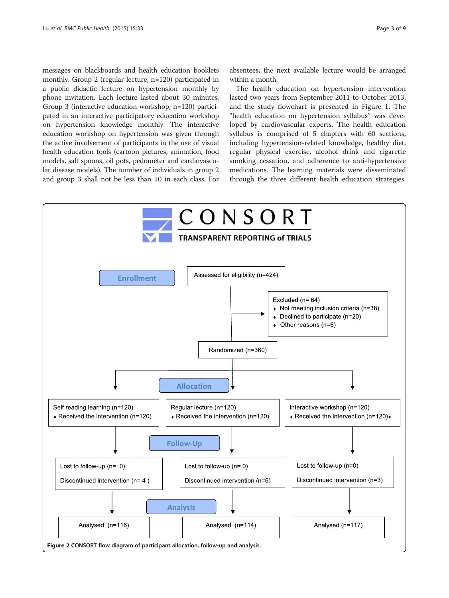<span id="page-2-0"></span>messages on blackboards and health education booklets monthly. Group 2 (regular lecture, n=120) participated in a public didactic lecture on hypertension monthly by phone invitation. Each lecture lasted about 30 minutes. Group 3 (interactive education workshop, n=120) participated in an interactive participatory education workshop on hypertension knowledge monthly. The interactive education workshop on hypertension was given through the active involvement of participants in the use of visual health education tools (cartoon pictures, animation, food models, salt spoons, oil pots, pedometer and cardiovascular disease models). The number of individuals in group 2 and group 3 shall not be less than 10 in each class. For

absentees, the next available lecture would be arranged within a month.

The health education on hypertension intervention lasted two years from September 2011 to October 2013, and the study flowchart is presented in Figure [1.](#page-1-0) The "health education on hypertension syllabus" was developed by cardiovascular experts. The health education syllabus is comprised of 5 chapters with 60 sections, including hypertension-related knowledge, healthy diet, regular physical exercise, alcohol drink and cigarette smoking cessation, and adherence to anti-hypertensive medications. The learning materials were disseminated through the three different health education strategies.

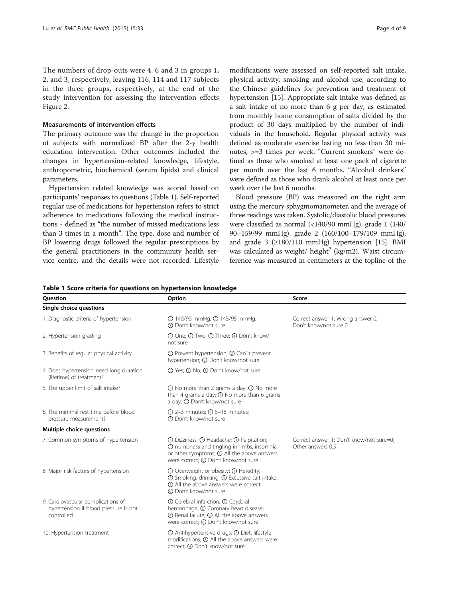The numbers of drop-outs were 4, 6 and 3 in groups 1, 2, and 3, respectively, leaving 116, 114 and 117 subjects in the three groups, respectively, at the end of the study intervention for assessing the intervention effects Figure [2](#page-2-0).

## Measurements of intervention effects

The primary outcome was the change in the proportion of subjects with normalized BP after the 2-y health education intervention. Other outcomes included the changes in hypertension-related knowledge, lifestyle, anthropometric, biochemical (serum lipids) and clinical parameters.

Hypertension related knowledge was scored based on participants' responses to questions (Table 1). Self-reported regular use of medications for hypertension refers to strict adherence to medications following the medical instructions - defined as "the number of missed medications less than 3 times in a month". The type, dose and number of BP lowering drugs followed the regular prescriptions by the general practitioners in the community health service centre, and the details were not recorded. Lifestyle

modifications were assessed on self-reported salt intake, physical activity, smoking and alcohol use, according to the Chinese guidelines for prevention and treatment of hypertension [\[15\]](#page-8-0). Appropriate salt intake was defined as a salt intake of no more than 6 g per day, as estimated from monthly home consumption of salts divided by the product of 30 days multiplied by the number of individuals in the household. Regular physical activity was defined as moderate exercise lasting no less than 30 minutes, >=3 times per week. "Current smokers" were defined as those who smoked at least one pack of cigarette per month over the last 6 months. "Alcohol drinkers" were defined as those who drank alcohol at least once per week over the last 6 months.

Blood pressure (BP) was measured on the right arm using the mercury sphygmomanometer, and the average of three readings was taken. Systolic/diastolic blood pressures were classified as normal (<140/90 mmHg), grade 1 (140/ 90–159/99 mmHg), grade 2 (160/100–179/109 mmHg), and grade 3 (≥180/110 mmHg) hypertension [\[15\]](#page-8-0). BMI was calculated as weight/ height<sup>2</sup> (kg/m2). Waist circumference was measured in centimeters at the topline of the

| <b>Ouestion</b>                                                                           | Option                                                                                                                                                                       | Score                                                         |
|-------------------------------------------------------------------------------------------|------------------------------------------------------------------------------------------------------------------------------------------------------------------------------|---------------------------------------------------------------|
| Single choice questions                                                                   |                                                                                                                                                                              |                                                               |
| 1. Diagnostic criteria of hypertension                                                    | 140/90 mmHg; 2 145/95 mmHg;<br>3) Don't know/not sure                                                                                                                        | Correct answer 1; Wrong answer 0;<br>Don't know/not sure 0    |
| 2. Hypertension grading                                                                   | 1 O One; 2 Two; 3 Three; 4 Don't know/<br>not sure                                                                                                                           |                                                               |
| 3. Benefits of regular physical activity                                                  | 1 Prevent hypertension; 2 Can't prevent<br>hypertension; 3 Don't know/not sure                                                                                               |                                                               |
| 4. Does hypertension need long duration<br>(lifetime) of treatment?                       | 1 Yes; 2 No; 3 Don't know/not sure                                                                                                                                           |                                                               |
| 5. The upper limit of salt intake?                                                        | $\odot$ No more than 2 grams a day; $\odot$ No more<br>than 4 grams a day; 3 No more than 6 grams<br>a day; 4 Don't know/not sure                                            |                                                               |
| 6. The minimal rest time before blood<br>pressure measurement?                            | $\odot$ 2-3 minutes; $\odot$ 5-15 minutes;<br>3) Don't know/not sure                                                                                                         |                                                               |
| Multiple choice questions                                                                 |                                                                                                                                                                              |                                                               |
| 7. Common symptoms of hypertension                                                        | 1 Dizziness; 2 Headache; 3 Palpitation;<br>4 numbness and tingling in limbs, insomnia<br>or other symptoms; (5) All the above answers<br>were correct; 6 Don't know/not sure | Correct answer 1; Don't know/not sure=0;<br>Other answers 0.5 |
| 8. Major risk factors of hypertension                                                     | 10 Overweight or obesity; 2 Heredity;<br>3 Smoking, drinking; 4 Excessive salt intake;<br>5 All the above answers were correct;<br>© Don't know/not sure                     |                                                               |
| 9. Cardiovascular complications of<br>hypertension if blood pressure is not<br>controlled | ① Cerebral infarction; ② Cerebral<br>hemorrhage; 3 Coronary heart disease;<br>4 Renal failure; 5 All the above answers<br>were correct; 6 Don't know/not sure                |                                                               |
| 10. Hypertension treatment                                                                | $\odot$ Antihypertensive drugs; $\oslash$ Diet, lifestyle<br>modifications; 3 All the above answers were<br>correct; 4 Don't know/not sure                                   |                                                               |

### Table 1 Score criteria for questions on hypertension knowledge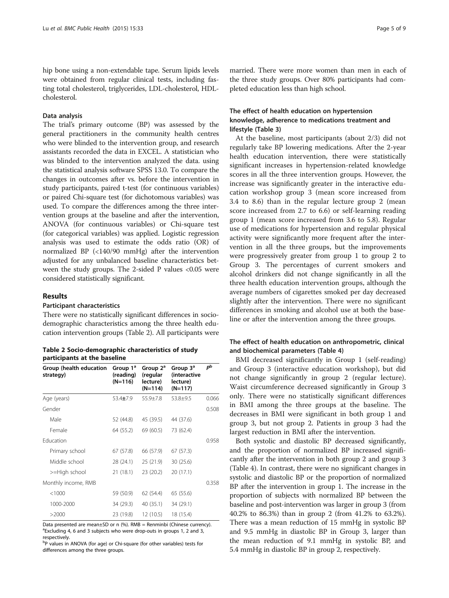hip bone using a non-extendable tape. Serum lipids levels were obtained from regular clinical tests, including fasting total cholesterol, triglycerides, LDL-cholesterol, HDLcholesterol.

## Data analysis

The trial's primary outcome (BP) was assessed by the general practitioners in the community health centres who were blinded to the intervention group, and research assistants recorded the data in EXCEL. A statistician who was blinded to the intervention analyzed the data. using the statistical analysis software SPSS 13.0. To compare the changes in outcomes after vs. before the intervention in study participants, paired t-test (for continuous variables) or paired Chi-square test (for dichotomous variables) was used. To compare the differences among the three intervention groups at the baseline and after the intervention, ANOVA (for continuous variables) or Chi-square test (for categorical variables) was applied. Logistic regression analysis was used to estimate the odds ratio (OR) of normalized BP (<140/90 mmHg) after the intervention adjusted for any unbalanced baseline characteristics between the study groups. The 2-sided P values <0.05 were considered statistically significant.

## Results

## Participant characteristics

There were no statistically significant differences in sociodemographic characteristics among the three health education intervention groups (Table 2). All participants were

Table 2 Socio-demographic characteristics of study participants at the baseline

| Group (health education<br>strategy) | Group 1 <sup>ª</sup><br>(reading)<br>$(N=116)$ | Group 2 <sup>a</sup><br>(regular<br>lecture)<br>$(N=114)$ | Group 3 <sup>ª</sup><br><i><b>linteractive</b></i><br>lecture)<br>$(N=117)$ | pb    |
|--------------------------------------|------------------------------------------------|-----------------------------------------------------------|-----------------------------------------------------------------------------|-------|
| Age (years)                          | $53.4 + 7.9$                                   | $55.9 + 7.8$                                              | $53.8 + 9.5$                                                                | 0.066 |
| Gender                               |                                                |                                                           |                                                                             | 0.508 |
| Male                                 | 52 (44.8)                                      | 45 (39.5)                                                 | 44 (37.6)                                                                   |       |
| Female                               | 64 (55.2)                                      | 69 (60.5)                                                 | 73 (62.4)                                                                   |       |
| <b>Education</b>                     |                                                |                                                           |                                                                             | 0.958 |
| Primary school                       | 67 (57.8)                                      | 66 (57.9)                                                 | 67 (57.3)                                                                   |       |
| Middle school                        | 28 (24.1)                                      | 25(21.9)                                                  | 30(25.6)                                                                    |       |
| >=High school                        | 21(18.1)                                       | 23 (20.2)                                                 | 20 (17.1)                                                                   |       |
| Monthly income, RMB                  |                                                |                                                           |                                                                             | 0.358 |
| < 1000                               | 59 (50.9)                                      | 62 (54.4)                                                 | 65 (55.6)                                                                   |       |
| 1000-2000                            | 34 (29.3)                                      | 40 (35.1)                                                 | 34 (29.1)                                                                   |       |
| >2000                                | 23 (19.8)                                      | 12 (10.5)                                                 | 18 (15.4)                                                                   |       |

Data presented are mean±SD or n (%). RMB = Renminbi (Chinese currency). <sup>a</sup> Excluding 4, 6 and 3 subjects who were drop-outs in groups 1, 2 and 3, respectively.

<sup>b</sup>P values in ANOVA (for age) or Chi-square (for other variables) tests for differences among the three groups.

married. There were more women than men in each of the three study groups. Over 80% participants had completed education less than high school.

## The effect of health education on hypertension knowledge, adherence to medications treatment and lifestyle (Table [3](#page-5-0))

At the baseline, most participants (about 2/3) did not regularly take BP lowering medications. After the 2-year health education intervention, there were statistically significant increases in hypertension-related knowledge scores in all the three intervention groups. However, the increase was significantly greater in the interactive education workshop group 3 (mean score increased from 3.4 to 8.6) than in the regular lecture group 2 (mean score increased from 2.7 to 6.6) or self-learning reading group 1 (mean score increased from 3.6 to 5.8). Regular use of medications for hypertension and regular physical activity were significantly more frequent after the intervention in all the three groups, but the improvements were progressively greater from group 1 to group 2 to Group 3. The percentages of current smokers and alcohol drinkers did not change significantly in all the three health education intervention groups, although the average numbers of cigarettes smoked per day decreased slightly after the intervention. There were no significant differences in smoking and alcohol use at both the baseline or after the intervention among the three groups.

## The effect of health education on anthropometric, clinical and biochemical parameters (Table [4](#page-6-0))

BMI decreased significantly in Group 1 (self-reading) and Group 3 (interactive education workshop), but did not change significantly in group 2 (regular lecture). Waist circumference decreased significantly in Group 3 only. There were no statistically significant differences in BMI among the three groups at the baseline. The decreases in BMI were significant in both group 1 and group 3, but not group 2. Patients in group 3 had the largest reduction in BMI after the intervention.

Both systolic and diastolic BP decreased significantly, and the proportion of normalized BP increased significantly after the intervention in both group 2 and group 3 (Table [4](#page-6-0)). In contrast, there were no significant changes in systolic and diastolic BP or the proportion of normalized BP after the intervention in group 1. The increase in the proportion of subjects with normalized BP between the baseline and post-intervention was larger in group 3 (from 40.2% to 86.3%) than in group 2 (from 41.2% to 63.2%). There was a mean reduction of 15 mmHg in systolic BP and 9.5 mmHg in diastolic BP in Group 3, larger than the mean reduction of 9.1 mmHg in systolic BP, and 5.4 mmHg in diastolic BP in group 2, respectively.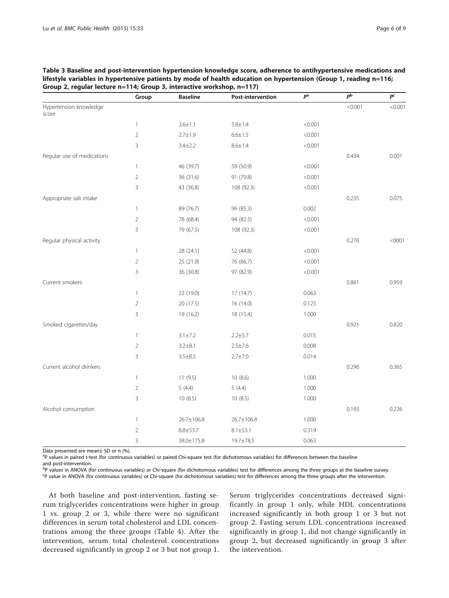|                                 | Group          | <b>Baseline</b> | Post-intervention | P <sup>a</sup> | P <sub>b</sub> | $\boldsymbol{P}^\text{c}$ |
|---------------------------------|----------------|-----------------|-------------------|----------------|----------------|---------------------------|
| Hypertension knowledge<br>score |                |                 |                   |                | < 0.001        | < 0.001                   |
|                                 | $\mathbf{1}$   | $3.6 \pm 1.1$   | $5.8 \pm 1.4$     | < 0.001        |                |                           |
|                                 | $\overline{2}$ | $2.7 \pm 1.9$   | $6.6 \pm 1.5$     | < 0.001        |                |                           |
|                                 | 3              | $3.4 \pm 2.2$   | $8.6 \pm 1.4$     | < 0.001        |                |                           |
| Regular use of medications      |                |                 |                   |                | 0.434          | 0.001                     |
|                                 | $\mathbf{1}$   | 46 (39.7)       | 59 (50.9)         | < 0.001        |                |                           |
|                                 | $\overline{2}$ | 36 (31.6)       | 91 (79.8)         | < 0.001        |                |                           |
|                                 | 3              | 43 (36.8)       | 108 (92.3)        | < 0.001        |                |                           |
| Appropriate salt intake         |                |                 |                   |                | 0.235          | 0.075                     |
|                                 | $\mathbf{1}$   | 89 (76.7)       | 99 (85.3)         | 0.002          |                |                           |
|                                 | $\sqrt{2}$     | 78 (68.4)       | 94 (82.5)         | < 0.001        |                |                           |
|                                 | 3              | 79 (67.5)       | 108 (92.3)        | < 0.001        |                |                           |
| Regular physical activity       |                |                 |                   |                | 0.276          | $<$ 0001                  |
|                                 | $\mathbf{1}$   | 28 (24.1)       | 52 (44.8)         | < 0.001        |                |                           |
|                                 | $\overline{2}$ | 25 (21.9)       | 76 (66.7)         | < 0.001        |                |                           |
|                                 | 3              | 36 (30.8)       | 97 (82.9)         | < 0.001        |                |                           |
| Current smokers                 |                |                 |                   |                | 0.861          | 0.959                     |
|                                 | $\mathbf{1}$   | 22 (19.0)       | 17(14.7)          | 0.063          |                |                           |
|                                 | $\overline{2}$ | 20 (17.5)       | 16 (14.0)         | 0.125          |                |                           |
|                                 | 3              | 19 (16.2)       | 18 (15.4)         | 1.000          |                |                           |
| Smoked cigarettes/day           |                |                 |                   |                | 0.921          | 0.820                     |
|                                 | $\mathbf{1}$   | $3.1 \pm 7.2$   | $2.2 + 5.7$       | 0.015          |                |                           |
|                                 | $\overline{2}$ | $3.2 + 8.1$     | $2.5 \pm 7.6$     | 0.008          |                |                           |
|                                 | 3              | $3.5 \pm 8.5$   | $2.7 \pm 7.0$     | 0.014          |                |                           |
| Current alcohol drinkers        |                |                 |                   |                | 0.296          | 0.365                     |
|                                 | $\mathbf{1}$   | 11(9.5)         | 10(8.6)           | 1.000          |                |                           |
|                                 | $\overline{2}$ | 5(4.4)          | 5(4.4)            | 1.000          |                |                           |
|                                 | 3              | 10(8.5)         | 10(8.5)           | 1.000          |                |                           |
| Alcohol consumption             |                |                 |                   |                | 0.193          | 0.226                     |
|                                 | $\mathbf{1}$   | 26.7±106.8      | 26.7±106.8        | 1.000          |                |                           |
|                                 | $\overline{2}$ | $8.8 + 53.7$    | $8.1 \pm 53.1$    | 0.319          |                |                           |
|                                 | 3              | 38.0±175.8      | 19.7±78.5         | 0.063          |                |                           |

<span id="page-5-0"></span>Table 3 Baseline and post-intervention hypertension knowledge score, adherence to antihypertensive medications and lifestyle variables in hypertensive patients by mode of health education on hypertension (Group 1, reading n=116; Group 2, regular lecture n=114; Group 3, interactive workshop, n=117)

Data presented are mean± SD or n (%).

<sup>a</sup>P values in paired t-test (for continuous variables) or paired Chi-square test (for dichotomous variables) for differences between the baseline and post-intervention.

bp values in ANOVA (for continuous variables) or Chi-square (for dichotomous variables) test for differences among the three groups at the baseline survey.<br>Sp value in ANOVA (for continuous variables) or Chi guare (for dic <sup>c</sup>P value in ANOVA (for continuous variables) or Chi-square (for dichotomous variables) test for differences among the three groups after the intervention.

At both baseline and post-intervention, fasting serum triglycerides concentrations were higher in group 1 vs. group 2 or 3, while there were no significant differences in serum total cholesterol and LDL concentrations among the three groups (Table [4\)](#page-6-0). After the intervention, serum total cholesterol concentrations decreased significantly in group 2 or 3 but not group 1. Serum triglycerides concentrations decreased significantly in group 1 only, while HDL concentrations increased significantly in both group 1 or 3 but not group 2. Fasting serum LDL concentrations increased significantly in group 1, did not change significantly in group 2, but decreased significantly in group 3 after the intervention.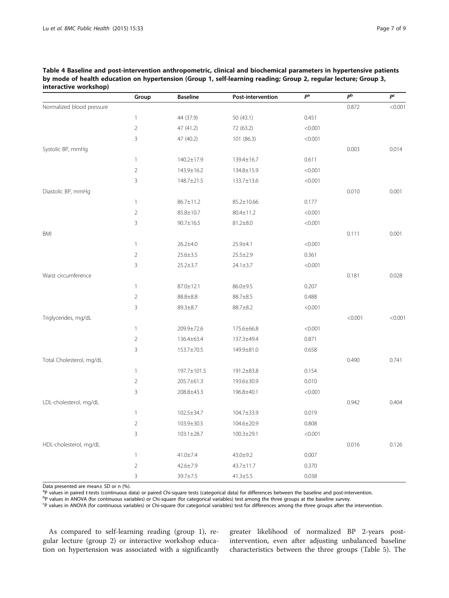<span id="page-6-0"></span>

| Table 4 Baseline and post-intervention anthropometric, clinical and biochemical parameters in hypertensive patients |
|---------------------------------------------------------------------------------------------------------------------|
| by mode of health education on hypertension (Group 1, self-learning reading; Group 2, regular lecture; Group 3,     |
| interactive workshop)                                                                                               |

| Normalized blood pressure<br>< 0.001<br>0.872<br>$\mathbf{1}$<br>44 (37.9)<br>50 $(43.1)$<br>0.451<br>$\overline{2}$<br>< 0.001<br>47 (41.2)<br>72 (63.2)<br>3<br>47 (40.2)<br>101 (86.3)<br>< 0.001<br>Systolic BP, mmHg<br>0.003<br>0.014<br>$\mathbf{1}$<br>0.611<br>140.2±17.9<br>139.4±16.7<br>$\overline{2}$<br>143.9±16.2<br>134.8±15.9<br>< 0.001<br>$\overline{3}$<br>148.7±21.5<br>133.7±13.6<br>< 0.001<br>Diastolic BP, mmHg<br>0.010<br>0.001<br>$\mathbf{1}$<br>85.2±10.66<br>0.177<br>86.7±11.2<br>$\overline{2}$<br>85.8±10.7<br>$80.4 \pm 11.2$<br>< 0.001<br>3<br>$90.7 \pm 16.5$<br>$81.2 + 8.0$<br>< 0.001<br>0.111<br>0.001<br>BMI<br>< 0.001<br>$\mathbf{1}$<br>$26.2 + 4.0$<br>25.9±4.1<br>$\overline{2}$<br>$25.6 \pm 3.5$<br>$25.5 \pm 2.9$<br>0.361<br>3<br>$25.2 + 3.7$<br>< 0.001<br>$24.1 \pm 3.7$<br>Waist circumference<br>0.181<br>0.028<br>87.0±12.1<br>0.207<br>$\mathbf{1}$<br>86.0±9.5<br>$\overline{2}$<br>$88.8 \pm 8.8$<br>0.488<br>88.7±8.5<br>3<br>89.3±8.7<br>< 0.001<br>88.7±8.2<br>Triglycerides, mg/dL<br>< 0.001<br>< 0.001<br>< 0.001<br>$\mathbf{1}$<br>209.9±72.6<br>175.6±66.8<br>$\overline{2}$<br>0.871<br>136.4±63.4<br>137.3±49.4<br>3<br>153.7±70.5<br>149.9±81.0<br>0.658<br>Total Cholesterol, mg/dL<br>0.490<br>0.741<br>$\mathbf{1}$<br>197.7±101.5<br>191.2±83.8<br>0.154<br>$\overline{2}$<br>205.7±61.3<br>193.6±30.9<br>0.010<br>$\overline{3}$<br>208.8±43.3<br>196.8±40.1<br>< 0.001<br>0.942<br>0.404<br>LDL-cholesterol, mg/dL<br>0.019<br>$\mathbf{1}$<br>102.5±34.7<br>104.7±33.9<br>$\overline{2}$<br>103.9±30.5<br>104.6±20.9<br>0.808<br>3<br>103.1±28.7<br>$100.3 + 29.1$<br>< 0.001<br>0.016<br>0.126<br>HDL-cholesterol, mg/dL<br>$\mathbf{1}$<br>0.007<br>$41.0 \pm 7.4$<br>43.0±9.2<br>$\sqrt{2}$<br>42.6±7.9<br>43.7±11.7<br>0.370<br>3<br>0.038<br>39.7±7.5<br>$41.3 \pm 5.5$ | Group | <b>Baseline</b> | <b>Post-intervention</b> | $P^a$ | P <sub>b</sub> | $P^{\rm c}$ |
|--------------------------------------------------------------------------------------------------------------------------------------------------------------------------------------------------------------------------------------------------------------------------------------------------------------------------------------------------------------------------------------------------------------------------------------------------------------------------------------------------------------------------------------------------------------------------------------------------------------------------------------------------------------------------------------------------------------------------------------------------------------------------------------------------------------------------------------------------------------------------------------------------------------------------------------------------------------------------------------------------------------------------------------------------------------------------------------------------------------------------------------------------------------------------------------------------------------------------------------------------------------------------------------------------------------------------------------------------------------------------------------------------------------------------------------------------------------------------------------------------------------------------------------------------------------------------------------------------------------------------------------------------------------------------------------------------------------------------------------------------------------------------------------------------------------------------------------------------------------|-------|-----------------|--------------------------|-------|----------------|-------------|
|                                                                                                                                                                                                                                                                                                                                                                                                                                                                                                                                                                                                                                                                                                                                                                                                                                                                                                                                                                                                                                                                                                                                                                                                                                                                                                                                                                                                                                                                                                                                                                                                                                                                                                                                                                                                                                                              |       |                 |                          |       |                |             |
|                                                                                                                                                                                                                                                                                                                                                                                                                                                                                                                                                                                                                                                                                                                                                                                                                                                                                                                                                                                                                                                                                                                                                                                                                                                                                                                                                                                                                                                                                                                                                                                                                                                                                                                                                                                                                                                              |       |                 |                          |       |                |             |
|                                                                                                                                                                                                                                                                                                                                                                                                                                                                                                                                                                                                                                                                                                                                                                                                                                                                                                                                                                                                                                                                                                                                                                                                                                                                                                                                                                                                                                                                                                                                                                                                                                                                                                                                                                                                                                                              |       |                 |                          |       |                |             |
|                                                                                                                                                                                                                                                                                                                                                                                                                                                                                                                                                                                                                                                                                                                                                                                                                                                                                                                                                                                                                                                                                                                                                                                                                                                                                                                                                                                                                                                                                                                                                                                                                                                                                                                                                                                                                                                              |       |                 |                          |       |                |             |
|                                                                                                                                                                                                                                                                                                                                                                                                                                                                                                                                                                                                                                                                                                                                                                                                                                                                                                                                                                                                                                                                                                                                                                                                                                                                                                                                                                                                                                                                                                                                                                                                                                                                                                                                                                                                                                                              |       |                 |                          |       |                |             |
|                                                                                                                                                                                                                                                                                                                                                                                                                                                                                                                                                                                                                                                                                                                                                                                                                                                                                                                                                                                                                                                                                                                                                                                                                                                                                                                                                                                                                                                                                                                                                                                                                                                                                                                                                                                                                                                              |       |                 |                          |       |                |             |
|                                                                                                                                                                                                                                                                                                                                                                                                                                                                                                                                                                                                                                                                                                                                                                                                                                                                                                                                                                                                                                                                                                                                                                                                                                                                                                                                                                                                                                                                                                                                                                                                                                                                                                                                                                                                                                                              |       |                 |                          |       |                |             |
|                                                                                                                                                                                                                                                                                                                                                                                                                                                                                                                                                                                                                                                                                                                                                                                                                                                                                                                                                                                                                                                                                                                                                                                                                                                                                                                                                                                                                                                                                                                                                                                                                                                                                                                                                                                                                                                              |       |                 |                          |       |                |             |
|                                                                                                                                                                                                                                                                                                                                                                                                                                                                                                                                                                                                                                                                                                                                                                                                                                                                                                                                                                                                                                                                                                                                                                                                                                                                                                                                                                                                                                                                                                                                                                                                                                                                                                                                                                                                                                                              |       |                 |                          |       |                |             |
|                                                                                                                                                                                                                                                                                                                                                                                                                                                                                                                                                                                                                                                                                                                                                                                                                                                                                                                                                                                                                                                                                                                                                                                                                                                                                                                                                                                                                                                                                                                                                                                                                                                                                                                                                                                                                                                              |       |                 |                          |       |                |             |
|                                                                                                                                                                                                                                                                                                                                                                                                                                                                                                                                                                                                                                                                                                                                                                                                                                                                                                                                                                                                                                                                                                                                                                                                                                                                                                                                                                                                                                                                                                                                                                                                                                                                                                                                                                                                                                                              |       |                 |                          |       |                |             |
|                                                                                                                                                                                                                                                                                                                                                                                                                                                                                                                                                                                                                                                                                                                                                                                                                                                                                                                                                                                                                                                                                                                                                                                                                                                                                                                                                                                                                                                                                                                                                                                                                                                                                                                                                                                                                                                              |       |                 |                          |       |                |             |
|                                                                                                                                                                                                                                                                                                                                                                                                                                                                                                                                                                                                                                                                                                                                                                                                                                                                                                                                                                                                                                                                                                                                                                                                                                                                                                                                                                                                                                                                                                                                                                                                                                                                                                                                                                                                                                                              |       |                 |                          |       |                |             |
|                                                                                                                                                                                                                                                                                                                                                                                                                                                                                                                                                                                                                                                                                                                                                                                                                                                                                                                                                                                                                                                                                                                                                                                                                                                                                                                                                                                                                                                                                                                                                                                                                                                                                                                                                                                                                                                              |       |                 |                          |       |                |             |
|                                                                                                                                                                                                                                                                                                                                                                                                                                                                                                                                                                                                                                                                                                                                                                                                                                                                                                                                                                                                                                                                                                                                                                                                                                                                                                                                                                                                                                                                                                                                                                                                                                                                                                                                                                                                                                                              |       |                 |                          |       |                |             |
|                                                                                                                                                                                                                                                                                                                                                                                                                                                                                                                                                                                                                                                                                                                                                                                                                                                                                                                                                                                                                                                                                                                                                                                                                                                                                                                                                                                                                                                                                                                                                                                                                                                                                                                                                                                                                                                              |       |                 |                          |       |                |             |
|                                                                                                                                                                                                                                                                                                                                                                                                                                                                                                                                                                                                                                                                                                                                                                                                                                                                                                                                                                                                                                                                                                                                                                                                                                                                                                                                                                                                                                                                                                                                                                                                                                                                                                                                                                                                                                                              |       |                 |                          |       |                |             |
|                                                                                                                                                                                                                                                                                                                                                                                                                                                                                                                                                                                                                                                                                                                                                                                                                                                                                                                                                                                                                                                                                                                                                                                                                                                                                                                                                                                                                                                                                                                                                                                                                                                                                                                                                                                                                                                              |       |                 |                          |       |                |             |
|                                                                                                                                                                                                                                                                                                                                                                                                                                                                                                                                                                                                                                                                                                                                                                                                                                                                                                                                                                                                                                                                                                                                                                                                                                                                                                                                                                                                                                                                                                                                                                                                                                                                                                                                                                                                                                                              |       |                 |                          |       |                |             |
|                                                                                                                                                                                                                                                                                                                                                                                                                                                                                                                                                                                                                                                                                                                                                                                                                                                                                                                                                                                                                                                                                                                                                                                                                                                                                                                                                                                                                                                                                                                                                                                                                                                                                                                                                                                                                                                              |       |                 |                          |       |                |             |
|                                                                                                                                                                                                                                                                                                                                                                                                                                                                                                                                                                                                                                                                                                                                                                                                                                                                                                                                                                                                                                                                                                                                                                                                                                                                                                                                                                                                                                                                                                                                                                                                                                                                                                                                                                                                                                                              |       |                 |                          |       |                |             |
|                                                                                                                                                                                                                                                                                                                                                                                                                                                                                                                                                                                                                                                                                                                                                                                                                                                                                                                                                                                                                                                                                                                                                                                                                                                                                                                                                                                                                                                                                                                                                                                                                                                                                                                                                                                                                                                              |       |                 |                          |       |                |             |
|                                                                                                                                                                                                                                                                                                                                                                                                                                                                                                                                                                                                                                                                                                                                                                                                                                                                                                                                                                                                                                                                                                                                                                                                                                                                                                                                                                                                                                                                                                                                                                                                                                                                                                                                                                                                                                                              |       |                 |                          |       |                |             |
|                                                                                                                                                                                                                                                                                                                                                                                                                                                                                                                                                                                                                                                                                                                                                                                                                                                                                                                                                                                                                                                                                                                                                                                                                                                                                                                                                                                                                                                                                                                                                                                                                                                                                                                                                                                                                                                              |       |                 |                          |       |                |             |
|                                                                                                                                                                                                                                                                                                                                                                                                                                                                                                                                                                                                                                                                                                                                                                                                                                                                                                                                                                                                                                                                                                                                                                                                                                                                                                                                                                                                                                                                                                                                                                                                                                                                                                                                                                                                                                                              |       |                 |                          |       |                |             |
|                                                                                                                                                                                                                                                                                                                                                                                                                                                                                                                                                                                                                                                                                                                                                                                                                                                                                                                                                                                                                                                                                                                                                                                                                                                                                                                                                                                                                                                                                                                                                                                                                                                                                                                                                                                                                                                              |       |                 |                          |       |                |             |
|                                                                                                                                                                                                                                                                                                                                                                                                                                                                                                                                                                                                                                                                                                                                                                                                                                                                                                                                                                                                                                                                                                                                                                                                                                                                                                                                                                                                                                                                                                                                                                                                                                                                                                                                                                                                                                                              |       |                 |                          |       |                |             |
|                                                                                                                                                                                                                                                                                                                                                                                                                                                                                                                                                                                                                                                                                                                                                                                                                                                                                                                                                                                                                                                                                                                                                                                                                                                                                                                                                                                                                                                                                                                                                                                                                                                                                                                                                                                                                                                              |       |                 |                          |       |                |             |
|                                                                                                                                                                                                                                                                                                                                                                                                                                                                                                                                                                                                                                                                                                                                                                                                                                                                                                                                                                                                                                                                                                                                                                                                                                                                                                                                                                                                                                                                                                                                                                                                                                                                                                                                                                                                                                                              |       |                 |                          |       |                |             |
|                                                                                                                                                                                                                                                                                                                                                                                                                                                                                                                                                                                                                                                                                                                                                                                                                                                                                                                                                                                                                                                                                                                                                                                                                                                                                                                                                                                                                                                                                                                                                                                                                                                                                                                                                                                                                                                              |       |                 |                          |       |                |             |
|                                                                                                                                                                                                                                                                                                                                                                                                                                                                                                                                                                                                                                                                                                                                                                                                                                                                                                                                                                                                                                                                                                                                                                                                                                                                                                                                                                                                                                                                                                                                                                                                                                                                                                                                                                                                                                                              |       |                 |                          |       |                |             |
|                                                                                                                                                                                                                                                                                                                                                                                                                                                                                                                                                                                                                                                                                                                                                                                                                                                                                                                                                                                                                                                                                                                                                                                                                                                                                                                                                                                                                                                                                                                                                                                                                                                                                                                                                                                                                                                              |       |                 |                          |       |                |             |
|                                                                                                                                                                                                                                                                                                                                                                                                                                                                                                                                                                                                                                                                                                                                                                                                                                                                                                                                                                                                                                                                                                                                                                                                                                                                                                                                                                                                                                                                                                                                                                                                                                                                                                                                                                                                                                                              |       |                 |                          |       |                |             |
|                                                                                                                                                                                                                                                                                                                                                                                                                                                                                                                                                                                                                                                                                                                                                                                                                                                                                                                                                                                                                                                                                                                                                                                                                                                                                                                                                                                                                                                                                                                                                                                                                                                                                                                                                                                                                                                              |       |                 |                          |       |                |             |
|                                                                                                                                                                                                                                                                                                                                                                                                                                                                                                                                                                                                                                                                                                                                                                                                                                                                                                                                                                                                                                                                                                                                                                                                                                                                                                                                                                                                                                                                                                                                                                                                                                                                                                                                                                                                                                                              |       |                 |                          |       |                |             |
|                                                                                                                                                                                                                                                                                                                                                                                                                                                                                                                                                                                                                                                                                                                                                                                                                                                                                                                                                                                                                                                                                                                                                                                                                                                                                                                                                                                                                                                                                                                                                                                                                                                                                                                                                                                                                                                              |       |                 |                          |       |                |             |

Data presented are mean± SD or n (%).

<sup>a</sup> values in paired t-tests (continuous data) or paired Chi-square tests (categorical data) for differences between the baseline and post-intervention.<br><sup>b</sup> values in ANOVA (for continuous variables) or Chi square (for cat

<sup>b</sup>P values in ANOVA (for continuous variables) or Chi-square (for categorical variables) test among the three groups at the baseline survey.

c P values in ANOVA (for continuous variables) or Chi-square (for categorical variables) test for differences among the three groups after the intervention.

As compared to self-learning reading (group 1), regular lecture (group 2) or interactive workshop education on hypertension was associated with a significantly greater likelihood of normalized BP 2-years postintervention, even after adjusting unbalanced baseline characteristics between the three groups (Table [5\)](#page-7-0). The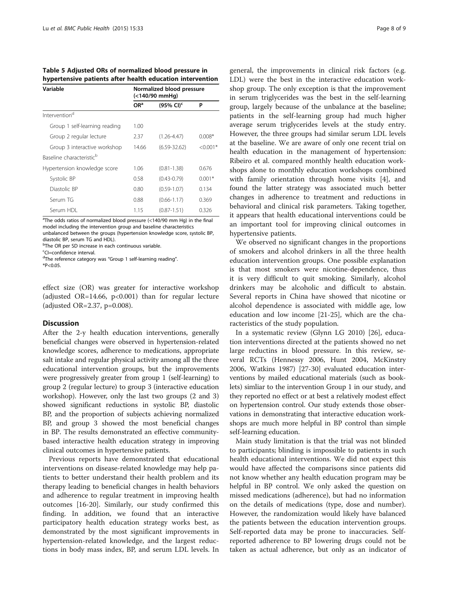<span id="page-7-0"></span>Table 5 Adjusted ORs of normalized blood pressure in hypertensive patients after health education intervention

| Variable                             | Normalized blood pressure<br>$(<140/90$ mmHg) |                       |            |  |
|--------------------------------------|-----------------------------------------------|-----------------------|------------|--|
|                                      | OR <sup>a</sup>                               | $(95\% \text{ Cl})^c$ | P          |  |
| Intervention <sup>d</sup>            |                                               |                       |            |  |
| Group 1 self-learning reading        | 1.00                                          |                       |            |  |
| Group 2 regular lecture              | 2.37                                          | $(1.26 - 4.47)$       | $0.008*$   |  |
| Group 3 interactive workshop         | 14.66                                         | $(6.59 - 32.62)$      | $< 0.001*$ |  |
| Baseline characteristic <sup>b</sup> |                                               |                       |            |  |
| Hypertension knowledge score         | 1.06                                          | $(0.81 - 1.38)$       | 0.676      |  |
| Systolic BP                          | 0.58                                          | $(0.43 - 0.79)$       | $0.001*$   |  |
| Diastolic BP                         | 0.80                                          | $(0.59 - 1.07)$       | 0.134      |  |
| Serum TG                             | 0.88                                          | $(0.66 - 1.17)$       | 0.369      |  |
| Serum HDI                            | 1.15                                          | $(0.87 - 1.51)$       | 0.326      |  |

<sup>a</sup>The odds ratios of normalized blood pressure (<140/90 mm Hg) in the final model including the intervention group and baseline characteristics unbalanced between the groups (hypertension knowledge score, systolic BP,

diastolic BP, serum TG and HDL). <sup>b</sup>The OR per SD increase in each continuous variable.

<sup>c</sup>Cl=confidence interval.

<sup>d</sup>The reference category was "Group 1 self-learning reading".

 $*P < 0.05$ .

effect size (OR) was greater for interactive workshop (adjusted OR=14.66, p<0.001) than for regular lecture (adjusted OR=2.37, p=0.008).

## **Discussion**

After the 2-y health education interventions, generally beneficial changes were observed in hypertension-related knowledge scores, adherence to medications, appropriate salt intake and regular physical activity among all the three educational intervention groups, but the improvements were progressively greater from group 1 (self-learning) to group 2 (regular lecture) to group 3 (interactive education workshop). However, only the last two groups (2 and 3) showed significant reductions in systolic BP, diastolic BP, and the proportion of subjects achieving normalized BP, and group 3 showed the most beneficial changes in BP. The results demonstrated an effective communitybased interactive health education strategy in improving clinical outcomes in hypertensive patients.

Previous reports have demonstrated that educational interventions on disease-related knowledge may help patients to better understand their health problem and its therapy leading to beneficial changes in health behaviors and adherence to regular treatment in improving health outcomes [[16-20\]](#page-8-0). Similarly, our study confirmed this finding. In addition, we found that an interactive participatory health education strategy works best, as demonstrated by the most significant improvements in hypertension-related knowledge, and the largest reductions in body mass index, BP, and serum LDL levels. In

general, the improvements in clinical risk factors (e.g. LDL) were the best in the interactive education workshop group. The only exception is that the improvement in serum triglycerides was the best in the self-learning group, largely because of the unbalance at the baseline; patients in the self-learning group had much higher average serum triglycerides levels at the study entry. However, the three groups had similar serum LDL levels at the baseline. We are aware of only one recent trial on health education in the management of hypertension: Ribeiro et al. compared monthly health education workshops alone to monthly education workshops combined with family orientation through home visits [\[4](#page-8-0)], and found the latter strategy was associated much better changes in adherence to treatment and reductions in behavioral and clinical risk parameters. Taking together, it appears that health educational interventions could be an important tool for improving clinical outcomes in hypertensive patients.

We observed no significant changes in the proportions of smokers and alcohol drinkers in all the three health education intervention groups. One possible explanation is that most smokers were nicotine-dependence, thus it is very difficult to quit smoking. Similarly, alcohol drinkers may be alcoholic and difficult to abstain. Several reports in China have showed that nicotine or alcohol dependence is associated with middle age, low education and low income [[21-25](#page-8-0)], which are the characteristics of the study population.

In a systematic review (Glynn LG 2010) [[26\]](#page-8-0), education interventions directed at the patients showed no net large reductins in blood pressure. In this review, several RCTs (Hennessy 2006, Hunt 2004, McKinstry 2006, Watkins 1987) [[27](#page-8-0)-[30\]](#page-8-0) evaluated education interventions by mailed educational materials (such as booklets) simliar to the intervention Group 1 in our study, and they reported no effect or at best a relatively modest effect on hypertension control. Our study extends those observations in demonstrating that interactive education workshops are much more helpful in BP control than simple self-learning education.

Main study limitation is that the trial was not blinded to participants; blinding is impossible to patients in such health educational interventions. We did not expect this would have affected the comparisons since patients did not know whether any health education program may be helpful in BP control. We only asked the question on missed medications (adherence), but had no information on the details of medications (type, dose and number). However, the randomization would likely have balanced the patients between the education intervention groups. Self-reported data may be prone to inaccuracies. Selfreported adherence to BP lowering drugs could not be taken as actual adherence, but only as an indicator of